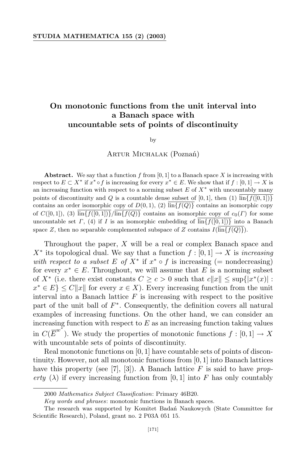## **On monotonic functions from the unit interval into a Banach space with uncountable sets of points of discontinuity**

by

Artur Michalak (Poznań)

**Abstract.** We say that a function  $f$  from [0, 1] to a Banach space  $X$  is increasing with respect to  $E \subset X^*$  if  $x^* \circ f$  is increasing for every  $x^* \in E$ . We show that if  $f : [0,1] \to X$  is an increasing function with respect to a norming subset *E* of *X∗* with uncountably many points of discontinuity and *Q* is a countable dense subset of [0, 1], then (1)  $\overline{\ln{f}f([0,1])}$ contains an order isomorphic copy of  $D(0,1)$ , (2)  $\inf\{f(Q)\}\$ contains an isomorphic copy of  $C([0,1])$ , (3)  $\lim\{f([0,1])\}\{\lim\{f(Q)\}\}$  contains an isomorphic copy of  $c_0(\Gamma)$  for some uncountable set *Γ*, (4) if *I* is an isomorphic embedding of  $\text{lin}\{f([0,1])\}$  into a Banach space *Z*, then no separable complemented subspace of *Z* contains  $I(\overline{\ln{f(Q)}})$ .

Throughout the paper, *X* will be a real or complex Banach space and  $X^*$  its topological dual. We say that a function  $f : [0, 1] \rightarrow X$  is *increasing with* respect to a subset E of  $X^*$  if  $x^* \circ f$  is increasing (= nondecreasing) for every  $x^* \in E$ . Throughout, we will assume that  $E$  is a norming subset of  $X^*$  (i.e. there exist constants  $C \ge c > 0$  such that  $c||x|| \le \sup\{|x^*(x)| :$  $x^* \in E$   $\leq C||x||$  for every  $x \in X$ ). Every increasing function from the unit interval into a Banach lattice *F* is increasing with respect to the positive part of the unit ball of  $F^*$ . Consequently, the definition covers all natural examples of increasing functions. On the other hand, we can consider an increasing function with respect to  $E$  as an increasing function taking values in  $C(\overline{E}^{w^*})$ . We study the properties of monotonic functions  $f : [0,1] \to X$ with uncountable sets of points of discontinuity.

Real monotonic functions on [0*,* 1] have countable sets of points of discontinuity. However, not all monotonic functions from [0*,* 1] into Banach lattices have this property (see [7], [3]). A Banach lattice *F* is said to have *property*  $(\lambda)$  if every increasing function from [0, 1] into F has only countably

<sup>2000</sup> *Mathematics Subject Classification*: Primary 46B20.

*Key words and phrases*: monotonic functions in Banach spaces.

The research was supported by Komitet Badan´ Naukowych (State Committee for Scientific Research), Poland, grant no. 2 P03A 051 15.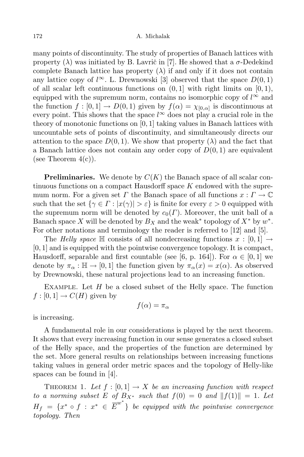many points of discontinuity. The study of properties of Banach lattices with property  $(\lambda)$  was initiated by B. Lavrič in [7]. He showed that a  $\sigma$ -Dedekind complete Banach lattice has property  $(\lambda)$  if and only if it does not contain any lattice copy of  $l^{\infty}$ . L. Drewnowski [3] observed that the space  $D(0,1)$ of all scalar left continuous functions on  $(0, 1]$  with right limits on  $[0, 1)$ , equipped with the supremum norm, contains no isomorphic copy of  $l^{\infty}$  and the function  $f : [0,1] \to D(0,1)$  given by  $f(\alpha) = \chi_{[0,\alpha]}$  is discontinuous at every point. This shows that the space  $l^{\infty}$  does not play a crucial role in the theory of monotonic functions on [0*,* 1] taking values in Banach lattices with uncountable sets of points of discontinuity, and simultaneously directs our attention to the space  $D(0,1)$ . We show that property  $(\lambda)$  and the fact that a Banach lattice does not contain any order copy of *D*(0*,* 1) are equivalent (see Theorem  $4(c)$ ).

**Preliminaries.** We denote by *C*(*K*) the Banach space of all scalar continuous functions on a compact Hausdorff space *K* endowed with the supremum norm. For a given set *Γ* the Banach space of all functions  $x: \Gamma \to \mathbb{C}$ such that the set  $\{\gamma \in \Gamma : |x(\gamma)| > \varepsilon\}$  is finite for every  $\varepsilon > 0$  equipped with the supremum norm will be denoted by  $c_0(\Gamma)$ . Moreover, the unit ball of a Banach space *X* will be denoted by  $B_X$  and the weak<sup>\*</sup> topology of  $X^*$  by  $w^*$ . For other notations and terminology the reader is referred to [12] and [5].

The *Helly* space  $\mathbb{H}$  consists of all nondecreasing functions  $x : [0,1] \rightarrow$ [0*,* 1] and is equipped with the pointwise convergence topology. It is compact, Hausdorff, separable and first countable (see [6, p. 164]). For  $\alpha \in [0, 1]$  we denote by  $\pi_{\alpha} : \mathbb{H} \to [0, 1]$  the function given by  $\pi_{\alpha}(x) = x(\alpha)$ . As observed by Drewnowski, these natural projections lead to an increasing function.

Example. Let *H* be a closed subset of the Helly space. The function  $f:[0,1] \to C(H)$  given by

$$
f(\alpha) = \pi_{\alpha}
$$

is increasing.

A fundamental role in our considerations is played by the next theorem. It shows that every increasing function in our sense generates a closed subset of the Helly space, and the properties of the function are determined by the set. More general results on relationships between increasing functions taking values in general order metric spaces and the topology of Helly-like spaces can be found in [4].

THEOREM 1. Let  $f : [0,1] \rightarrow X$  be an increasing function with respect *to a norming subset E of*  $B_{X^*}$  *such that*  $f(0) = 0$  *and*  $||f(1)|| = 1$ *. Let*  $H_f = \{x^* \circ f : x^* \in \overline{E}^{w^*}\}$  be equipped with the pointwise convergence *topology. Then*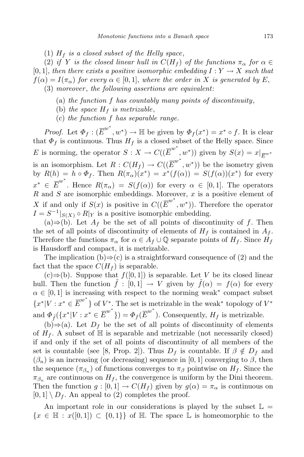$(1)$   $H_f$  *is a closed subset of the Helly space*,

(2) *if Y is the closed linear hull in*  $C(H_f)$  *of the functions*  $\pi_{\alpha}$  *for*  $\alpha \in$  $[0,1]$ , *then there exists a positive isomorphic embedding*  $I: Y \rightarrow X$  *such that*  $f(\alpha) = I(\pi_{\alpha})$  *for every*  $\alpha \in [0,1]$ , *where the order in X is generated by E*, (3) *moreover* , *the following assertions are equivalent*:

- (a) *the function f has countably many points of discontinuity*,
- (b) *the space*  $H_f$  *is metrizable*,
- (c) *the function f has separable range.*

*Proof.* Let  $\Phi_f: (\overline{E}^{w^*}, w^*) \to \mathbb{H}$  be given by  $\Phi_f(x^*) = x^* \circ f$ . It is clear that  $\Phi_f$  is continuous. Thus  $H_f$  is a closed subset of the Helly space. Since *E* is norming, the operator  $S: X \to C((\overline{E}^{w^*}, w^*))$  given by  $S(x) = x|_{\overline{E}^{w^*}}$ is an isomorphism. Let  $R: C(H_f) \to C((\overline{E}^{w^*}, w^*))$  be the isometry given by  $R(h) = h \circ \Phi_f$ . Then  $R(\pi_\alpha)(x^*) = x^*(f(\alpha)) = S(f(\alpha))(x^*)$  for every  $x^* \in \overline{E}^{w^*}$ . Hence  $R(\pi_\alpha) = S(f(\alpha))$  for every  $\alpha \in [0,1]$ . The operators *R* and *S* are isomorphic embeddings. Moreover, *x* is a positive element of *X* if and only if  $S(x)$  is positive in  $C((\overline{E}^{w^*}, w^*))$ . Therefore the operator  $I = S^{-1}|_{S(X)} \circ R|_{Y}$  is a positive isomorphic embedding.

(a)*⇒*(b). Let *A<sup>f</sup>* be the set of all points of discontinuity of *f*. Then the set of all points of discontinuity of elements of  $H_f$  is contained in  $A_f$ . Therefore the functions  $\pi_{\alpha}$  for  $\alpha \in A_f \cup \mathbb{Q}$  separate points of  $H_f$ . Since  $H_f$ is Hausdorff and compact, it is metrizable.

The implication (b)*⇒*(c) is a straightforward consequence of (2) and the fact that the space  $C(H_f)$  is separable.

(c)*⇒*(b). Suppose that *f*([0*,* 1]) is separable. Let *V* be its closed linear hull. Then the function  $\tilde{f} : [0,1] \to V$  given by  $\tilde{f}(\alpha) = f(\alpha)$  for every  $\alpha \in [0, 1]$  is increasing with respect to the norming weak<sup>\*</sup> compact subset  ${x^*} | V : x^* \in \overline{E}^{w^*}$  of  $V^*$ . The set is metrizable in the weak<sup>\*</sup> topology of  $V^*$ and  $\Phi_{\tilde{f}}(\{x^*|V:x^*\in \overline{E}^{w^*}\}) = \Phi_f(\overline{E}^{w^*})$ . Consequently,  $H_f$  is metrizable.

(b)*⇒*(a). Let *D<sup>f</sup>* be the set of all points of discontinuity of elements of  $H_f$ . A subset of  $\mathbb H$  is separable and metrizable (not necessarily closed) if and only if the set of all points of discontinuity of all members of the set is countable (see [8, Prop. 2]). Thus  $D_f$  is countable. If  $\beta \notin D_f$  and  $(\beta_n)$  is an increasing (or decreasing) sequence in [0, 1] converging to  $\beta$ , then the sequence  $(\pi_{\beta_n})$  of functions converges to  $\pi_{\beta}$  pointwise on  $H_f$ . Since the  $\pi_{\beta_n}$  are continuous on  $H_f$ , the convergence is uniform by the Dini theorem. Then the function  $g : [0,1] \to C(H_f)$  given by  $g(\alpha) = \pi_\alpha$  is continuous on  $[0,1] \setminus D_f$ . An appeal to (2) completes the proof.

An important role in our considerations is played by the subset  $\mathbb{L} =$ *{x* ∈  $\mathbb{H}$  : *x*([0*,* 1]) ⊂ {0*,* 1}} of  $\mathbb{H}$ . The space  $\mathbb{L}$  is homeomorphic to the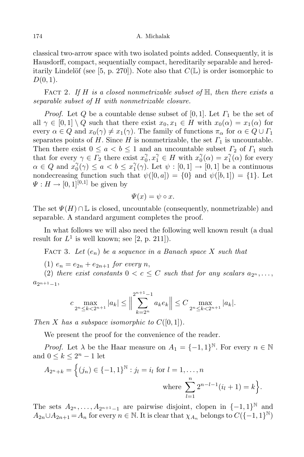classical two-arrow space with two isolated points added. Consequently, it is Hausdorff, compact, sequentially compact, hereditarily separable and hereditarily Lindelöf (see [5, p. 270]). Note also that  $C(\mathbb{L})$  is order isomorphic to *D*(0*,* 1).

Fact 2. *If H is a closed nonmetrizable subset of* H, *then there exists a separable subset of H with nonmetrizable closure.*

*Proof.* Let *Q* be a countable dense subset of [0*,* 1]. Let *Γ*<sup>1</sup> be the set of all  $\gamma \in [0,1] \setminus Q$  such that there exist  $x_0, x_1 \in H$  with  $x_0(\alpha) = x_1(\alpha)$  for every  $\alpha \in Q$  and  $x_0(\gamma) \neq x_1(\gamma)$ . The family of functions  $\pi_\alpha$  for  $\alpha \in Q \cup \Gamma_1$ separates points of *H*. Since *H* is nonmetrizable, the set  $\Gamma_1$  is uncountable. Then there exist  $0 \le a < b \le 1$  and an uncountable subset  $\Gamma_2$  of  $\Gamma_1$  such that for every  $\gamma \in \Gamma_2$  there exist  $x_0^{\gamma}, x_1^{\gamma} \in H$  with  $x_0^{\gamma}(\alpha) = x_1^{\gamma}(\alpha)$  for every  $\alpha \in Q$  and  $x_0^{\gamma}(\gamma) \le a < b \le x_1^{\gamma}(\gamma)$ . Let  $\psi : [0,1] \to [0,1]$  be a continuous nondecreasing function such that  $\psi([0, a]) = \{0\}$  and  $\psi([b, 1]) = \{1\}$ . Let  $\Psi: H \to [0, 1]^{[0,1]}$  be given by

$$
\Psi(x) = \psi \circ x.
$$

The set  $\Psi(H) \cap \mathbb{L}$  is closed, uncountable (consequently, nonmetrizable) and separable. A standard argument completes the proof.

In what follows we will also need the following well known result (a dual result for  $L^1$  is well known; see  $[2, p. 211]$ .

FACT 3. Let  $(e_n)$  be a sequence in a Banach space X such that

 $(1)$   $e_n = e_{2n} + e_{2n+1}$  *for every n*,

(2) *there exist constants*  $0 < c \leq C$  *such that for any scalars*  $a_{2^n}, \ldots$ , *a*2*n*+1*−*1,

$$
c \max_{2^{n} \leq k < 2^{n+1}} |a_k| \leq \Big\| \sum_{k=2^{n}}^{2^{n+1}-1} a_k e_k \Big\| \leq C \max_{2^{n} \leq k < 2^{n+1}} |a_k|.
$$

*Then X has a subspace isomorphic to*  $C([0,1])$ *.* 

We present the proof for the convenience of the reader.

*Proof.* Let  $\lambda$  be the Haar measure on  $A_1 = \{-1, 1\}^{\mathbb{N}}$ . For every  $n \in \mathbb{N}$ and  $0 \leq k \leq 2^n - 1$  let

$$
A_{2^n+k} = \{(j_n) \in \{-1,1\}^{\mathbb{N}} : j_l = i_l \text{ for } l = 1,\ldots,n
$$
  
where 
$$
\sum_{l=1}^n 2^{n-l-1}(i_l+1) = k \}.
$$

The sets  $A_{2^n}, \ldots, A_{2^{n+1}-1}$  are pairwise disjoint, clopen in  $\{-1,1\}^{\mathbb{N}}$  and  $A_{2n} \cup A_{2n+1} = A_n$  for every  $n \in \mathbb{N}$ . It is clear that  $\chi_{A_n}$  belongs to  $C(\{-1,1\}^{\mathbb{N}})$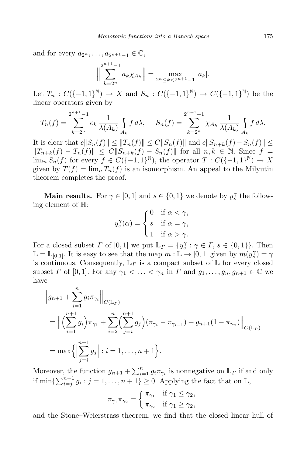and for every  $a_{2^n}, \ldots, a_{2^{n+1}-1} \in \mathbb{C}$ ,

$$
\Big\|\sum_{k=2^n}^{2^{n+1}-1}a_k\chi_{A_k}\Big\| = \max_{2^n\le k < 2^{n+1}-1} |a_k|.
$$

Let  $T_n : C({-1,1}^{\mathbb{N}}) \to X$  and  $S_n : C({-1,1}^{\mathbb{N}}) \to C({-1,1}^{\mathbb{N}})$  be the linear operators given by

$$
T_n(f) = \sum_{k=2^n}^{2^{n+1}-1} e_k \frac{1}{\lambda(A_k)} \int_{A_k} f d\lambda, \quad S_n(f) = \sum_{k=2^n}^{2^{n+1}-1} \chi_{A_k} \frac{1}{\lambda(A_k)} \int_{A_k} f d\lambda.
$$

It is clear that  $c||S_n(f)|| \le ||T_n(f)|| \le C||S_n(f)||$  and  $c||S_{n+k}(f) - S_n(f)|| \le$  $||T_{n+k}(f) - T_n(f)|| \leq C||S_{n+k}(f) - S_n(f)||$  for all  $n, k \in \mathbb{N}$ . Since  $f =$  $\lim_{n} S_n(f)$  for every  $f \in C({-1,1}^{\mathbb{N}})$ , the operator  $T : C({-1,1}^{\mathbb{N}}) \to X$ given by  $T(f) = \lim_{n} T_n(f)$  is an isomorphism. An appeal to the Milyutin theorem completes the proof.

**Main results.** For  $\gamma \in [0, 1]$  and  $s \in \{0, 1\}$  we denote by  $y_s^{\gamma}$  the following element of H:

$$
y_s^{\gamma}(\alpha) = \begin{cases} 0 & \text{if } \alpha < \gamma, \\ s & \text{if } \alpha = \gamma, \\ 1 & \text{if } \alpha > \gamma. \end{cases}
$$

For a closed subset *Γ* of  $[0, 1]$  we put  $\mathbb{L}_\Gamma = \{y_s^{\gamma} : \gamma \in \Gamma, s \in \{0, 1\}\}\.$  Then  $\mathbb{L} = \mathbb{L}_{[0,1]}$ . It is easy to see that the map  $m : \mathbb{L} \to [0,1]$  given by  $m(y_s^{\gamma}) = \gamma$ is continuous. Consequently,  $\mathbb{L}_\Gamma$  is a compact subset of  $\mathbb L$  for every closed subset  $\Gamma$  of [0, 1]. For any  $\gamma_1 < \ldots < \gamma_n$  in  $\Gamma$  and  $g_1, \ldots, g_n, g_{n+1} \in \mathbb{C}$  we have

$$
\|g_{n+1} + \sum_{i=1}^{n} g_i \pi_{\gamma_i} \|_{C(\mathbb{L}_\Gamma)} \n= \left\| \left( \sum_{i=1}^{n+1} g_i \right) \pi_{\gamma_1} + \sum_{i=2}^{n} \left( \sum_{j=i}^{n+1} g_j \right) (\pi_{\gamma_i} - \pi_{\gamma_{i-1}}) + g_{n+1} (1 - \pi_{\gamma_n}) \right\|_{C(\mathbb{L}_\Gamma)} \n= \max \left\{ \left| \sum_{j=i}^{n+1} g_j \right| : i = 1, \dots, n+1 \right\}.
$$

Moreover, the function  $g_{n+1} + \sum_{i=1}^n g_i \pi_{\gamma_i}$  is nonnegative on  $\mathbb{L}_\Gamma$  if and only if  $\min\{\sum_{i=j}^{n+1} g_i : j = 1, \ldots, n+1\} \ge 0$ . Applying the fact that on  $\mathbb{L}$ ,

$$
\pi_{\gamma_1}\pi_{\gamma_2} = \begin{cases} \pi_{\gamma_1} & \text{if } \gamma_1 \leq \gamma_2, \\ \pi_{\gamma_2} & \text{if } \gamma_1 \geq \gamma_2, \end{cases}
$$

and the Stone–Weierstrass theorem, we find that the closed linear hull of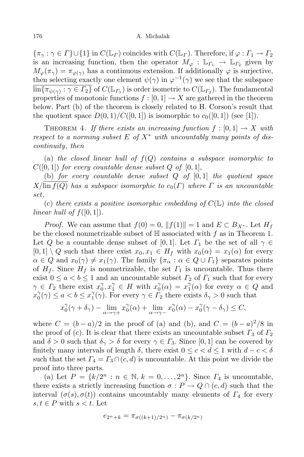$\{\pi_{\gamma} : \gamma \in \Gamma\} \cup \{1\}$  in  $C(\mathbb{L}_{\Gamma})$  coincides with  $C(\mathbb{L}_{\Gamma})$ . Therefore, if  $\varphi : \Gamma_1 \to \Gamma_2$ is an increasing function, then the operator  $M_{\varphi}: \mathbb{L}_{\Gamma_1} \to \mathbb{L}_{\Gamma_2}$  given by  $M_{\varphi}(\pi_{\gamma}) = \pi_{\varphi(\gamma)}$  has a continuous extension. If additionally  $\varphi$  is surjective, then selecting exactly one element  $\psi(\gamma)$  in  $\varphi^{-1}(\gamma)$  we see that the subspace  $\lim \{ \pi_{\psi(\gamma)} : \gamma \in \Gamma_2 \}$  of  $C(\mathbb{L}_{\Gamma_1})$  is order isometric to  $C(\mathbb{L}_{\Gamma_2})$ . The fundamental properties of monotonic functions  $f : [0, 1] \to X$  are gathered in the theorem below. Part (b) of the theorem is closely related to H. Corson's result that the quotient space  $D(0,1)/C([0,1])$  is isomorphic to  $c_0([0,1])$  (see [1]).

THEOREM 4. If there exists an increasing function  $f : [0, 1] \rightarrow X$  with *respect* to a norming subset  $E$  of  $X^*$  with uncountably many points of dis*continuity*, *then*

(a) the closed linear hull of  $f(Q)$  contains a subspace isomorphic to  $C([0,1])$  *for every countable dense subset*  $Q$  *of*  $[0,1]$ ,

(b) *for every countable dense subset Q of* [0*,* 1] *the quotient space*  $X/\overline{\text{lin } f(Q)}$  *has a subspace isomorphic to*  $c_0(\Gamma)$  *where*  $\Gamma$  *is an uncountable set*,

(c) *there exists a positive isomorphic embedding of C*(L) *into the closed linear hull of*  $f([0,1])$ *.* 

*Proof.* We can assume that  $f(0) = 0$ ,  $||f(1)|| = 1$  and  $E \subset B_{X^*}$ . Let  $H_f$ be the closed nonmetrizable subset of H associated with *f* as in Theorem 1. Let *Q* be a countable dense subset of [0,1]. Let  $\Gamma_1$  be the set of all  $\gamma \in$  $[0,1] \setminus Q$  such that there exist  $x_0, x_1 \in H_f$  with  $x_0(\alpha) = x_1(\alpha)$  for every  $\alpha \in Q$  and  $x_0(\gamma) \neq x_1(\gamma)$ . The family  $\{\pi_\alpha : \alpha \in Q \cup \Gamma_1\}$  separates points of  $H_f$ . Since  $H_f$  is nonmetrizable, the set  $\Gamma_1$  is uncountable. Thus there exist  $0 \le a < b \le 1$  and an uncountable subset  $\Gamma_2$  of  $\Gamma_1$  such that for every  $\gamma \in \Gamma_2$  there exist  $x_0^{\gamma}, x_1^{\gamma} \in H$  with  $x_0^{\gamma}(\alpha) = x_1^{\gamma}(\alpha)$  for every  $\alpha \in Q$  and  $x_0^{\gamma}(\gamma) \le a < b \le x_1^{\gamma}(\gamma)$ . For every  $\gamma \in \Gamma_2$  there exists  $\delta_{\gamma} > 0$  such that

$$
x_0^{\gamma}(\gamma + \delta_{\gamma}) - \lim_{\alpha \to \gamma+} x_0^{\gamma}(\alpha) + \lim_{\alpha \to \gamma-} x_0^{\gamma}(\alpha) - x_0^{\gamma}(\gamma - \delta_{\gamma}) \le C,
$$

where  $C = (b - a)/2$  in the proof of (a) and (b), and  $C = (b - a)^2/8$  in the proof of (c). It is clear that there exists an uncountable subset  $\Gamma_3$  of  $\Gamma_2$ and  $\delta > 0$  such that  $\delta_{\gamma} > \delta$  for every  $\gamma \in \Gamma_3$ . Since [0, 1] can be covered by finitely many intervals of length  $\delta$ , there exist  $0 \leq c \leq d \leq 1$  with  $d - c \leq \delta$ such that the set  $\Gamma_4 = \Gamma_3 \cap (c, d)$  is uncountable. At this point we divide the proof into three parts.

(a) Let  $P = \{k/2^n : n \in \mathbb{N}, k = 0, \ldots, 2^n\}$ . Since  $\Gamma_4$  is uncountable, there exists a strictly increasing function  $\sigma : P \to Q \cap (c, d)$  such that the interval  $(\sigma(s), \sigma(t))$  contains uncountably many elements of  $\Gamma_4$  for every *s*,*t* ∈ *P* with *s*  $lt$  *t*. Let

$$
e_{2^n+k} = \pi_{\sigma((k+1)/2^n)} - \pi_{\sigma(k/2^n)}
$$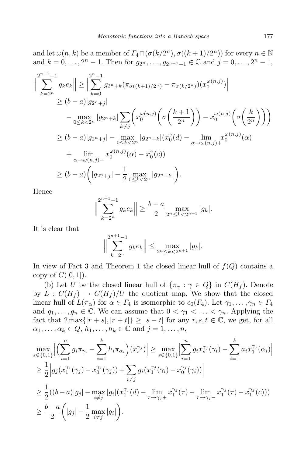and let  $\omega(n, k)$  be a member of  $\Gamma_4 \cap (\sigma(k/2^n), \sigma((k+1)/2^n))$  for every  $n \in \mathbb{N}$ and  $k = 0, ..., 2<sup>n</sup> - 1$ . Then for  $g_{2^n}, ..., g_{2^{n+1}-1} \in \mathbb{C}$  and  $j = 0, ..., 2<sup>n</sup> - 1$ ,

$$
\left\|\sum_{k=2^{n}}^{2^{n+1}-1} g_{k}e_{k}\right\| \geq \left|\sum_{k=0}^{2^{n}-1} g_{2^{n}+k}(\pi_{\sigma((k+1)/2^{n})}-\pi_{\sigma(k/2^{n})})(x_{0}^{\omega(n,j)})\right|
$$
  
\n
$$
\geq (b-a)|g_{2^{n}+j}|
$$
  
\n
$$
-\max_{0\leq k<2^{n}}|g_{2^{n}+k}|\sum_{k\neq j}\left(x_{0}^{\omega(n,j)}\left(\sigma\left(\frac{k+1}{2^{n}}\right)\right)-x_{0}^{\omega(n,j)}\left(\sigma\left(\frac{k}{2^{n}}\right)\right)\right)
$$
  
\n
$$
\geq (b-a)|g_{2^{n}+j}|-\max_{0\leq k<2^{n}}|g_{2^{n}+k}|(x_{0}^{\gamma}(d)-\lim_{\alpha\to\omega(n,j)+}x_{0}^{\omega(n,j)}(\alpha)
$$
  
\n
$$
+\lim_{\alpha\to\omega(n,j)-}x_{0}^{\omega(n,j)}(\alpha)-x_{0}^{\gamma}(c))
$$
  
\n
$$
\geq (b-a)\left(|g_{2^{n}+j}|-\frac{1}{2}\max_{0\leq k<2^{n}}|g_{2^{n}+k}|\right).
$$

Hence

$$
\Big\|\sum_{k=2^n}^{2^{n+1}-1} g_k e_k\Big\| \ge \frac{b-a}{2} \max_{2^n \le k < 2^{n+1}} |g_k|.
$$

It is clear that

$$
\Big\|\sum_{k=2^n}^{2^{n+1}-1} g_k e_k\Big\| \le \max_{2^n \le k < 2^{n+1}} |g_k|.
$$

In view of Fact 3 and Theorem 1 the closed linear hull of  $f(Q)$  contains a copy of  $C([0,1])$ .

(b) Let *U* be the closed linear hull of  $\{\pi_{\gamma} : \gamma \in Q\}$  in  $C(H_f)$ . Denote by  $L: C(H_f) \to C(H_f)/U$  the quotient map. We show that the closed linear hull of  $L(\pi_{\alpha})$  for  $\alpha \in \Gamma_4$  is isomorphic to  $c_0(\Gamma_4)$ . Let  $\gamma_1, \ldots, \gamma_n \in \Gamma_4$ and  $g_1, \ldots, g_n \in \mathbb{C}$ . We can assume that  $0 < \gamma_1 < \ldots < \gamma_n$ . Applying the fact that  $2 \max\{|r + s|, |r + t|\} \geq |s - t|$  for any  $r, s, t \in \mathbb{C}$ , we get, for all  $\alpha_1, \ldots, \alpha_k \in Q, h_1, \ldots, h_k \in \mathbb{C}$  and  $j = 1, \ldots, n$ ,

$$
\max_{s \in \{0,1\}} \Big| \Big( \sum_{i=1}^{n} g_i \pi_{\gamma_i} - \sum_{i=1}^{k} h_i \pi_{\alpha_i} \Big) (x_s^{\gamma_j}) \Big| \ge \max_{s \in \{0,1\}} \Big| \sum_{i=1}^{n} g_i x_s^{\gamma_j} (\gamma_i) - \sum_{i=1}^{k} a_i x_1^{\gamma_j} (\alpha_i) \Big|
$$
  
\n
$$
\ge \frac{1}{2} \Big| g_j (x_1^{\gamma_j} (\gamma_j) - x_0^{\gamma_j} (\gamma_j)) + \sum_{i \ne j} g_i (x_1^{\gamma_j} (\gamma_i) - x_0^{\gamma_j} (\gamma_i)) \Big|
$$
  
\n
$$
\ge \frac{1}{2} ((b-a)|g_j| - \max_{i \ne j} |g_i| (x_1^{\gamma_j} (d) - \lim_{\tau \to \gamma_j+} x_1^{\gamma_j} (\tau) - \lim_{\tau \to \gamma_j-} x_1^{\gamma_j} (\tau) - x_1^{\gamma_j} (c)))
$$
  
\n
$$
\ge \frac{b-a}{2} \Big( |g_j| - \frac{1}{2} \max_{i \ne j} |g_i| \Big).
$$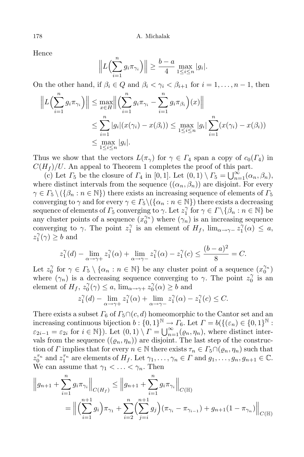Hence

$$
\left\| L\left(\sum_{i=1}^n g_i \pi_{\gamma_i}\right) \right\| \geq \frac{b-a}{4} \max_{1 \leq i \leq n} |g_i|.
$$

On the other hand, if  $\beta_i \in Q$  and  $\beta_i < \gamma_i < \beta_{i+1}$  for  $i = 1, \ldots, n-1$ , then

$$
\left\| L \left( \sum_{i=1}^{n} g_i \pi_{\gamma_i} \right) \right\| \le \max_{x \in H} \left\| \left( \sum_{i=1}^{n} g_i \pi_{\gamma_i} - \sum_{i=1}^{n} g_i \pi_{\beta_i} \right) (x) \right\|
$$
  

$$
\le \sum_{i=1}^{n} |g_i| (x(\gamma_i) - x(\beta_i)) \le \max_{1 \le i \le n} |g_i| \sum_{i=1}^{n} (x(\gamma_i) - x(\beta_i))
$$
  

$$
\le \max_{1 \le i \le n} |g_i|.
$$

Thus we show that the vectors  $L(\pi_\gamma)$  for  $\gamma \in \Gamma_4$  span a copy of  $c_0(\Gamma_4)$  in  $C(H_f)/U$ . An appeal to Theorem 1 completes the proof of this part.

(c) Let  $\Gamma_5$  be the closure of  $\Gamma_4$  in [0, 1]. Let  $(0,1) \setminus \Gamma_5 = \bigcup_{n=1}^{\infty} (\alpha_n, \beta_n),$ where distinct intervals from the sequence  $((\alpha_n, \beta_n))$  are disjoint. For every  $\gamma \in \Gamma_5 \setminus (\{\beta_n : n \in \mathbb{N}\})$  there exists an increasing sequence of elements of  $\Gamma_5$ converging to *γ* and for every  $\gamma \in \Gamma_5 \setminus (\{\alpha_n : n \in \mathbb{N}\})$  there exists a decreasing sequence of elements of  $\Gamma_5$  converging to  $\gamma$ . Let  $z_1^{\gamma}$  for  $\gamma \in \Gamma \setminus {\beta_n : n \in \mathbb{N}}$  be any cluster points of a sequence  $(x_0^{\gamma_n})$  where  $(\gamma_n)$  is an increasing sequence converging to *γ*. The point  $z_1^{\gamma}$  is an element of  $H_f$ ,  $\lim_{\alpha \to \gamma^-} z_1^{\gamma}(\alpha) \leq a$ ,  $z_1^{\gamma}(\gamma) \geq b$  and

$$
z_1^{\gamma}(d) - \lim_{\alpha \to \gamma+} z_1^{\gamma}(\alpha) + \lim_{\alpha \to \gamma-} z_1^{\gamma}(\alpha) - z_1^{\gamma}(c) \le \frac{(b-a)^2}{8} = C.
$$

Let  $z_0^{\gamma}$  for  $\gamma \in \Gamma_5 \setminus \{ \alpha_n : n \in \mathbb{N} \}$  be any cluster point of a sequence  $(x_0^{\gamma_n})$ where  $(\gamma_n)$  is a decreasing sequence converging to  $\gamma$ . The point  $z_0^{\gamma}$  is an element of  $H_f$ ,  $z_0^{\gamma}(\gamma) \leq a$ ,  $\lim_{\alpha \to \gamma+} z_0^{\gamma}(\alpha) \geq b$  and

$$
z_1^{\gamma}(d) - \lim_{\alpha \to \gamma+} z_1^{\gamma}(\alpha) + \lim_{\alpha \to \gamma-} z_1^{\gamma}(\alpha) - z_1^{\gamma}(c) \leq C.
$$

There exists a subset  $\Gamma_6$  of  $\Gamma_5 \cap (c, d)$  homeomorphic to the Cantor set and an increasing continuous bijection  $b: \{0, 1\}^{\mathbb{N}} \to \Gamma_6$ . Let  $\Gamma = b(\{(\varepsilon_n) \in \{0, 1\}^{\mathbb{N}} :$  $\varepsilon_{2i-1} = \varepsilon_{2i}$  for  $i \in \mathbb{N}$ ). Let  $(0,1) \setminus \Gamma = \bigcup_{n=1}^{\infty} (\varrho_n, \eta_n)$ , where distinct intervals from the sequence  $((\varrho_n, \eta_n))$  are disjoint. The last step of the construction of *Γ* implies that for every  $n \in \mathbb{N}$  there exists  $\tau_n \in \Gamma_5 \cap (\varrho_n, \eta_n)$  such that  $z_0^{\tau_n}$  and  $z_1^{\tau_n}$  are elements of  $H_f$ . Let  $\gamma_1, \ldots, \gamma_n \in \Gamma$  and  $g_1, \ldots, g_n, g_{n+1} \in \mathbb{C}$ . We can assume that  $\gamma_1 < \ldots < \gamma_n$ . Then

$$
\|g_{n+1} + \sum_{i=1}^{n} g_i \pi_{\gamma_i}\|_{C(H_f)} \le \|g_{n+1} + \sum_{i=1}^{n} g_i \pi_{\gamma_i}\|_{C(\mathbb{H})}
$$
  
=  $\left\| \left( \sum_{i=1}^{n+1} g_i \right) \pi_{\gamma_1} + \sum_{i=2}^{n} \left( \sum_{j=i}^{n+1} g_j \right) (\pi_{\gamma_i} - \pi_{\gamma_{i-1}}) + g_{n+1} (1 - \pi_{\gamma_n}) \right\|_{C(\mathbb{H})}$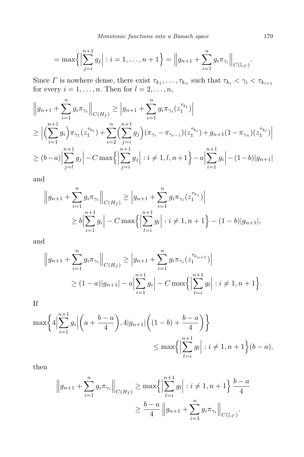$$
= \max \left\{ \left| \sum_{j=i}^{n+1} g_j \right| : i = 1, \ldots, n+1 \right\} = \left\| g_{n+1} + \sum_{i=1}^{n} g_i \pi_{\gamma_i} \right\|_{C(\mathbb{L}_r)}.
$$

Since  $\Gamma$  is nowhere dense, there exist  $\tau_{k_1}, \ldots, \tau_{k_n}$  such that  $\tau_{k_i} < \gamma_i < \tau_{k_{i+1}}$ for every  $i = 1, \ldots, n$ . Then for  $l = 2, \ldots, n$ ,

$$
\|g_{n+1} + \sum_{i=1}^{n} g_i \pi_{\gamma_i} \|_{C(H_f)} \ge |g_{n+1} + \sum_{i=1}^{n} g_i \pi_{\gamma_i} (z_1^{\tau_{k_l}}) \|
$$
  
\n
$$
\ge \left| \left( \sum_{i=1}^{n+1} g_i \right) \pi_{\gamma_1} (z_1^{\tau_{k_l}}) + \sum_{i=2}^{n} \left( \sum_{j=i}^{n+1} g_j \right) (\pi_{\gamma_i} - \pi_{\gamma_{i-1}}) (z_1^{\tau_{k_l}}) + g_{n+1} (1 - \pi_{\gamma_n}) (z_1^{\tau_{k_l}}) \right|
$$
  
\n
$$
\ge (b-a) \left| \sum_{j=l}^{n+1} g_j \right| - C \max \left\{ \left| \sum_{j=i}^{n+1} g_j \right| : i \ne 1, l, n+1 \right\} - a \left| \sum_{i=1}^{n+1} g_i \right| - (1-b)|g_{n+1}|
$$

and

$$
\|g_{n+1} + \sum_{i=1}^{n} g_i \pi_{\gamma_i} \|_{C(H_f)} \ge |g_{n+1} + \sum_{i=1}^{n} g_i \pi_{\gamma_i} (z_1^{\tau_{k_1}}) \|
$$
  
\n
$$
\ge b \Big| \sum_{i=1}^{n+1} g_i \Big| - C \max \Big\{ \Big| \sum_{l=i}^{n+1} g_l \Big| : i \neq 1, n+1 \Big\} - (1-b)|g_{n+1}|,
$$

and

$$
\|g_{n+1} + \sum_{i=1}^{n} g_i \pi_{\gamma_i}\|_{C(H_f)} \ge |g_{n+1} + \sum_{i=1}^{n} g_i \pi_{\gamma_i}(z_1^{\tau_{k_{n+1}}})|
$$
  
\n
$$
\ge (1-a)|g_{n+1}| - a \Big|\sum_{i=1}^{n+1} g_i \Big| - C \max\Big{\Big|\sum_{l=i}^{n+1} g_l\Big| : i \ne 1, n+1\Big\}}.
$$

If

$$
\max\bigg\{4\Big|\sum_{i=1}^{n+1} g_i\Big|\Big(a+\frac{b-a}{4}\Big), 4|g_{n+1}|\Big((1-b)+\frac{b-a}{4}\Big)\bigg\}
$$
  

$$
\leq \max\bigg\{\Big|\sum_{l=i}^{n+1} g_l\Big| : i \neq 1, n+1\bigg\}(b-a),
$$

then

$$
\left\|g_{n+1} + \sum_{i=1}^{n} g_i \pi_{\gamma_i} \right\|_{C(H_f)} \ge \max \left\{ \left| \sum_{l=i}^{n+1} g_l \right| : i \ne 1, n+1 \right\} \frac{b-a}{4}
$$

$$
\ge \frac{b-a}{4} \left\| g_{n+1} + \sum_{i=1}^{n} g_i \pi_{\gamma_i} \right\|_{C(\mathbb{L}_F)}.
$$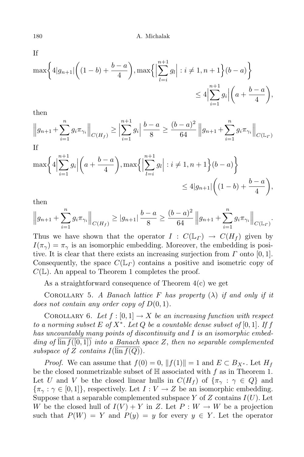If

$$
\max\bigg\{4|g_{n+1}|\bigg((1-b)+\frac{b-a}{4}\bigg),\max\bigg\{\Big|\sum_{l=i}^{n+1}g_l\Big|:i\neq 1,n+1\bigg\}(b-a)\bigg\}
$$
  

$$
\leq 4\Big|\sum_{i=1}^{n+1}g_i\Big|\bigg(a+\frac{b-a}{4}\bigg),
$$

then

$$
\left\|g_{n+1} + \sum_{i=1}^{n} g_i \pi_{\gamma_i} \right\|_{C(H_f)} \ge \left| \sum_{i=1}^{n+1} g_i \right| \frac{b-a}{8} \ge \frac{(b-a)^2}{64} \left\| g_{n+1} + \sum_{i=1}^{n} g_i \pi_{\gamma_i} \right\|_{C(\mathbb{L}_F)}
$$
  
If

$$
\max\bigg\{4\Big|\sum_{i=1}^{n+1} g_i\Big|\Big(a+\frac{b-a}{4}\Big),\max\bigg\{\Big|\sum_{l=i}^{n+1} g_l\Big|: i \neq 1, n+1\bigg\}(b-a)\bigg\}
$$
  
\$\leq 4|g\_{n+1}|\Big((1-b)+\frac{b-a}{4}\Big),\$

then

$$
\left\|g_{n+1} + \sum_{i=1}^n g_i \pi_{\gamma_i}\right\|_{C(H_f)} \ge |g_{n+1}| \frac{b-a}{8} \ge \frac{(b-a)^2}{64} \left\|g_{n+1} + \sum_{i=1}^n g_i \pi_{\gamma_i}\right\|_{C(\mathbb{L}_r)}.
$$

Thus we have shown that the operator  $I : C(\mathbb{L}_\Gamma) \to C(H_f)$  given by  $I(\pi_{\gamma}) = \pi_{\gamma}$  is an isomorphic embedding. Moreover, the embedding is positive. It is clear that there exists an increasing surjection from *Γ* onto [0*,* 1]. Consequently, the space *C*(L*<sup>Γ</sup>* ) contains a positive and isometric copy of  $C(\mathbb{L})$ . An appeal to Theorem 1 completes the proof.

As a straightforward consequence of Theorem 4(c) we get

COROLLARY 5. *A Banach lattice F has property*  $(\lambda)$  *if and only if it does not contain any order copy of D*(0*,* 1)*.*

COROLLARY 6. Let  $f : [0,1] \to X$  be an increasing function with respect to a norming subset E of  $X^*$ . Let Q be a countable dense subset of  $[0,1]$ . If f *has uncountably many points of discontinuity and I is an isomorphic embedding of* lin *f*([0*,* 1]) *into a Banach space Z*, *then no separable complemented subspace* of *Z contains*  $I(\text{lin } f(Q))$ *.* 

*Proof.* We can assume that  $f(0) = 0$ ,  $||f(1)|| = 1$  and  $E \subset B_{X^*}$ . Let  $H_f$ be the closed nonmetrizable subset of H associated with *f* as in Theorem 1. Let *U* and *V* be the closed linear hulls in  $C(H_f)$  of  $\{\pi_\gamma : \gamma \in Q\}$  and  $\{\pi_{\gamma} : \gamma \in [0,1]\},$  respectively. Let  $I: V \to Z$  be an isomorphic embedding. Suppose that a separable complemented subspace *Y* of *Z* contains *I*(*U*). Let *W* be the closed hull of  $I(V) + Y$  in *Z*. Let  $P: W \to W$  be a projection such that  $P(W) = Y$  and  $P(y) = y$  for every  $y \in Y$ . Let the operator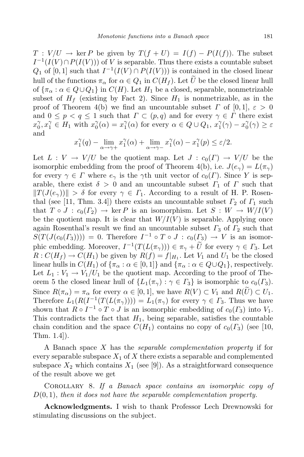$T: V/U \to \text{ker } P$  be given by  $T(f+U) = I(f) - P(I(f))$ . The subset  $I^{-1}(I(V) \cap P(I(V)))$  of *V* is separable. Thus there exists a countable subset  $Q_1$  of  $[0,1]$  such that  $I^{-1}(I(V) \cap P(I(V)))$  is contained in the closed linear hull of the functions  $\pi_{\alpha}$  for  $\alpha \in Q_1$  in  $C(H_f)$ . Let  $\widetilde{U}$  be the closed linear hull of  ${\pi_{\alpha}: \alpha \in Q \cup Q_1}$  in  $C(H)$ . Let  $H_1$  be a closed, separable, nonmetrizable subset of  $H_f$  (existing by Fact 2). Since  $H_1$  is nonmetrizable, as in the proof of Theorem 4(b) we find an uncountable subset *Γ* of [0, 1],  $\varepsilon > 0$ and  $0 \leq p < q \leq 1$  such that  $\Gamma \subset (p,q)$  and for every  $\gamma \in \Gamma$  there exist  $x_0^{\gamma}, x_1^{\gamma} \in H_1$  with  $x_0^{\gamma}(\alpha) = x_1^{\gamma}(\alpha)$  for every  $\alpha \in Q \cup Q_1$ ,  $x_1^{\gamma}(\gamma) - x_0^{\gamma}(\gamma) \ge \varepsilon$ and

$$
x_1^{\gamma}(q) - \lim_{\alpha \to \gamma+} x_1^{\gamma}(\alpha) + \lim_{\alpha \to \gamma-} x_1^{\gamma}(\alpha) - x_1^{\gamma}(p) \le \varepsilon/2.
$$

Let  $L: V \to V/U$  be the quotient map. Let  $J: c_0(\Gamma) \to V/U$  be the isomorphic embedding from the proof of Theorem 4(b), i.e.  $J(e_{\gamma}) = L(\pi_{\gamma})$ for every  $\gamma \in \Gamma$  where  $e_{\gamma}$  is the  $\gamma$ <sup>th</sup> unit vector of  $c_0(\Gamma)$ . Since *Y* is separable, there exist  $\delta > 0$  and an uncountable subset  $\Gamma_1$  of  $\Gamma$  such that  $||T(J(e<sub>\gamma</sub>))|| > \delta$  for every  $\gamma \in \Gamma_1$ . According to a result of H. P. Rosenthal (see [11, Thm. 3.4]) there exists an uncountable subset  $\Gamma_2$  of  $\Gamma_1$  such that  $T \circ J : c_0(\Gamma_2) \to \ker P$  is an isomorphism. Let  $S : W \to W/I(V)$ be the quotient map. It is clear that  $W/I(V)$  is separable. Applying once again Rosenthal's result we find an uncountable subset  $\Gamma_3$  of  $\Gamma_2$  such that  $S(T(J(c_0(F_3)))) = 0$ . Therefore  $I^{-1} \circ T \circ J : c_0(F_3) \to V$  is an isomorphic embedding. Moreover,  $I^{-1}(T(L(\pi_{\gamma}))) \in \pi_{\gamma} + U$  for every  $\gamma \in \Gamma_3$ . Let  $R: C(H_f) \to C(H_1)$  be given by  $R(f) = f|_{H_1}$ . Let  $V_1$  and  $U_1$  be the closed linear hulls in  $C(H_1)$  of  $\{\pi_\alpha : \alpha \in [0,1]\}$  and  $\{\pi_\alpha : \alpha \in Q \cup Q_1\}$ , respectively. Let  $L_1: V_1 \to V_1/U_1$  be the quotient map. According to the proof of Theorem 5 the closed linear hull of  $\{L_1(\pi_\gamma) : \gamma \in \Gamma_3\}$  is isomorphic to  $c_0(\Gamma_3)$ . Since  $R(\pi_{\alpha}) = \pi_{\alpha}$  for every  $\alpha \in [0,1]$ , we have  $R(V) \subset V_1$  and  $R(\widetilde{U}) \subset U_1$ . Therefore  $L_1(R(I^{-1}(T(L(\pi_\gamma)))) = L_1(\pi_\gamma)$  for every  $\gamma \in \Gamma_3$ . Thus we have shown that  $R \circ I^{-1} \circ T \circ J$  is an isomorphic embedding of  $c_0(\Gamma_3)$  into  $V_1$ . This contradicts the fact that  $H_1$ , being separable, satisfies the countable chain condition and the space  $C(H_1)$  contains no copy of  $c_0(\Gamma_3)$  (see [10, Thm. 1.4]).

A Banach space *X* has the *separable complementation property* if for every separable subspace  $X_1$  of  $X$  there exists a separable and complemented subspace  $X_2$  which contains  $X_1$  (see [9]). As a straightforward consequence of the result above we get

Corollary 8. *If a Banach space contains an isomorphic copy of D*(0*,* 1), *then it does not have the separable complementation property.*

**Acknowledgments.** I wish to thank Professor Lech Drewnowski for stimulating discussions on the subject.